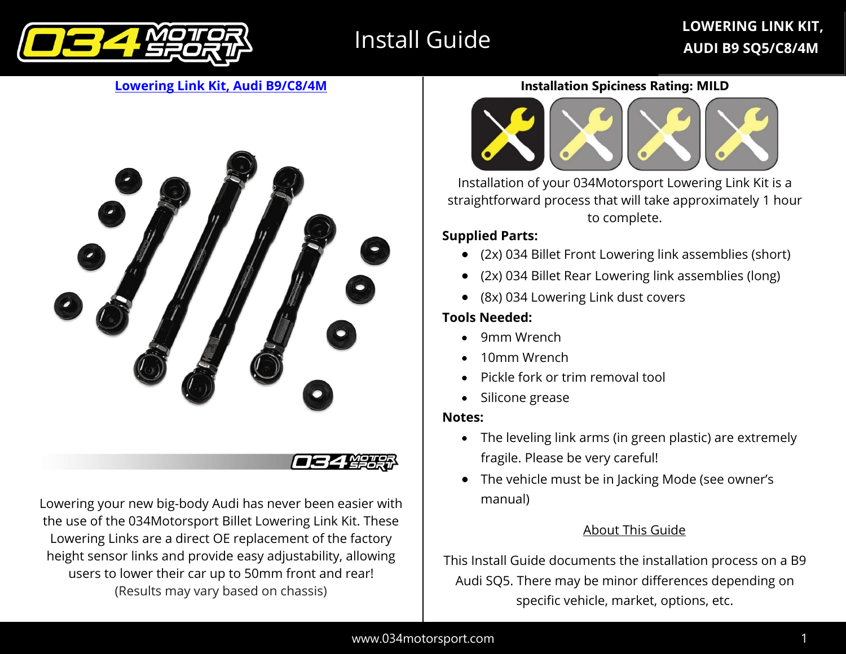

# Install Guide

#### **[Lowering Link Kit, Audi B9/C8/4M](https://store.034motorsport.com/adjustable-lowering-link-kit-billet-aluminum-audi-b9-b9-5-sq5-c8-a6-s6-rs6-c8-a7-s7-rs7-4m-audi-q7-sq7-4m8-q8-sq8-rsq8-e-tron-suv-w-air-suspension.html)**



Lowering your new big-body Audi has never been easier with the use of the 034Motorsport Billet Lowering Link Kit. These Lowering Links are a direct OE replacement of the factory height sensor links and provide easy adjustability, allowing users to lower their car up to 50mm front and rear! (Results may vary based on chassis)

#### **Installation Spiciness Rating: MILD**



Installation of your 034Motorsport Lowering Link Kit is a straightforward process that will take approximately 1 hour to complete.

#### **Supplied Parts:**

- (2x) 034 Billet Front Lowering link assemblies (short)
- (2x) 034 Billet Rear Lowering link assemblies (long)
- (8x) 034 Lowering Link dust covers

#### **Tools Needed:**

- 9mm Wrench
- 10mm Wrench
- Pickle fork or trim removal tool
- Silicone grease

#### **Notes:**

- The leveling link arms (in green plastic) are extremely fragile. Please be very careful!
- The vehicle must be in Jacking Mode (see owner's manual)

#### About This Guide

This Install Guide documents the installation process on a B9 Audi SQ5. There may be minor differences depending on specific vehicle, market, options, etc.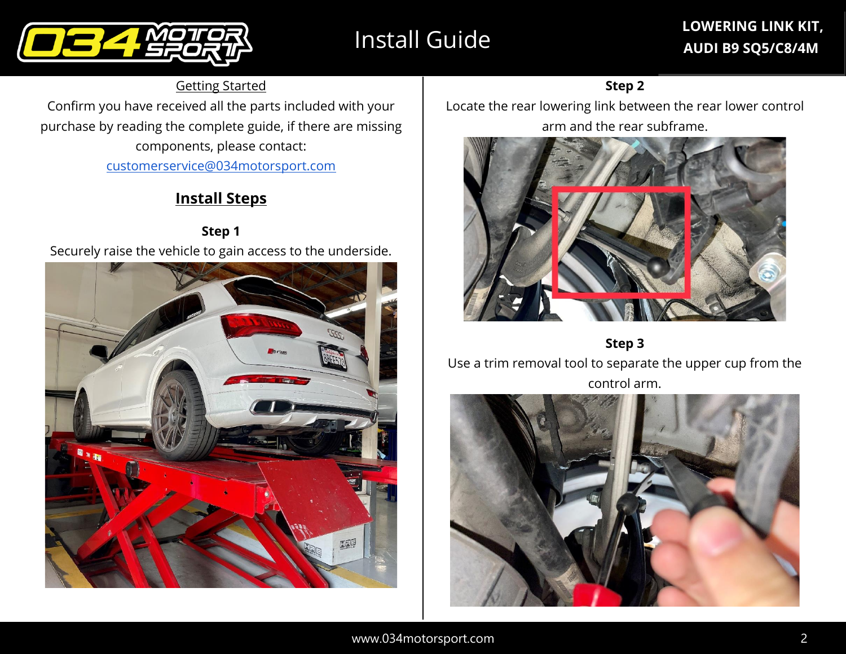# Install Guide

# **LOWERING LINK KIT, AUDI B9 SQ5/C8/4M**



Getting Started

Confirm you have received all the parts included with your purchase by reading the complete guide, if there are missing components, please contact: [customerservice@034motorsport.com](mailto:customerservice@034motorsport.com)

# **Install Steps**

**Step 1** Securely raise the vehicle to gain access to the underside.



#### **Step 2**

Locate the rear lowering link between the rear lower control arm and the rear subframe.



**Step 3**

Use a trim removal tool to separate the upper cup from the control arm.

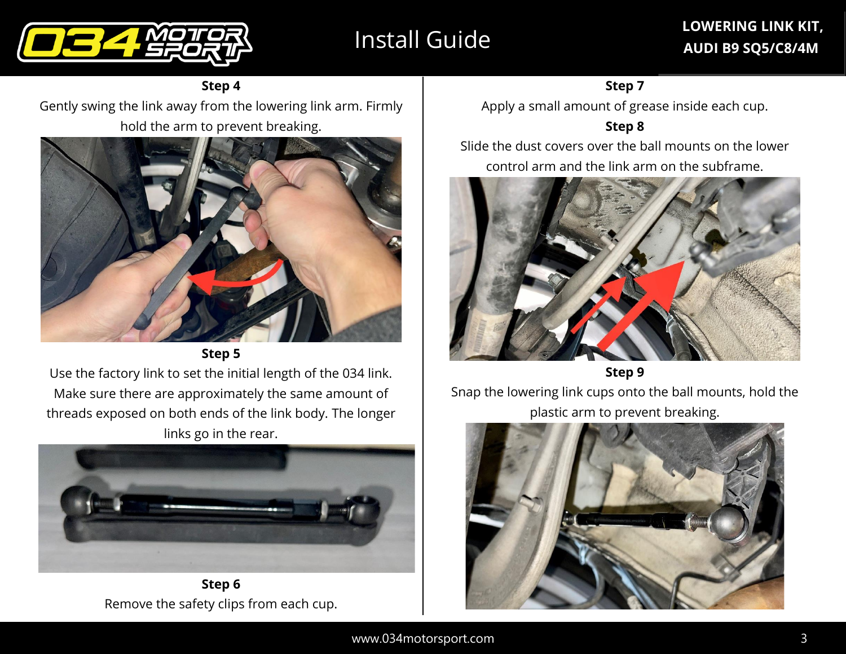



**Step 4**

Gently swing the link away from the lowering link arm. Firmly hold the arm to prevent breaking.





Use the factory link to set the initial length of the 034 link. Make sure there are approximately the same amount of threads exposed on both ends of the link body. The longer links go in the rear.



**Step 6** Remove the safety clips from each cup.

**Step 7**

Apply a small amount of grease inside each cup.

**Step 8**

Slide the dust covers over the ball mounts on the lower control arm and the link arm on the subframe.



**Step 9**

Snap the lowering link cups onto the ball mounts, hold the plastic arm to prevent breaking.